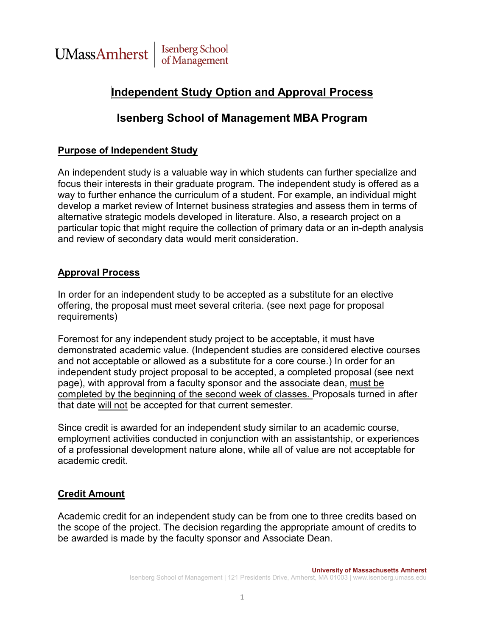

## **Independent Study Option and Approval Process**

### **Isenberg School of Management MBA Program**

### **Purpose of Independent Study**

An independent study is a valuable way in which students can further specialize and focus their interests in their graduate program. The independent study is offered as a way to further enhance the curriculum of a student. For example, an individual might develop a market review of Internet business strategies and assess them in terms of alternative strategic models developed in literature. Also, a research project on a particular topic that might require the collection of primary data or an in-depth analysis and review of secondary data would merit consideration.

#### **Approval Process**

In order for an independent study to be accepted as a substitute for an elective offering, the proposal must meet several criteria. (see next page for proposal requirements)

Foremost for any independent study project to be acceptable, it must have demonstrated academic value. (Independent studies are considered elective courses and not acceptable or allowed as a substitute for a core course.) In order for an independent study project proposal to be accepted, a completed proposal (see next page), with approval from a faculty sponsor and the associate dean, must be completed by the beginning of the second week of classes. Proposals turned in after that date will not be accepted for that current semester.

Since credit is awarded for an independent study similar to an academic course, employment activities conducted in conjunction with an assistantship, or experiences of a professional development nature alone, while all of value are not acceptable for academic credit.

### **Credit Amount**

Academic credit for an independent study can be from one to three credits based on the scope of the project. The decision regarding the appropriate amount of credits to be awarded is made by the faculty sponsor and Associate Dean.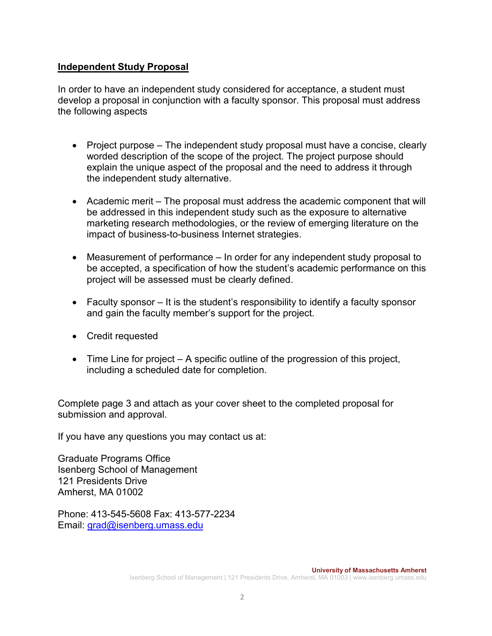### **Independent Study Proposal**

In order to have an independent study considered for acceptance, a student must develop a proposal in conjunction with a faculty sponsor. This proposal must address the following aspects

- Project purpose The independent study proposal must have a concise, clearly worded description of the scope of the project. The project purpose should explain the unique aspect of the proposal and the need to address it through the independent study alternative.
- Academic merit The proposal must address the academic component that will be addressed in this independent study such as the exposure to alternative marketing research methodologies, or the review of emerging literature on the impact of business-to-business Internet strategies.
- Measurement of performance In order for any independent study proposal to be accepted, a specification of how the student's academic performance on this project will be assessed must be clearly defined.
- Faculty sponsor It is the student's responsibility to identify a faculty sponsor and gain the faculty member's support for the project.
- Credit requested
- $\bullet$  Time Line for project  $-$  A specific outline of the progression of this project, including a scheduled date for completion.

Complete page 3 and attach as your cover sheet to the completed proposal for submission and approval.

If you have any questions you may contact us at:

Graduate Programs Office Isenberg School of Management 121 Presidents Drive Amherst, MA 01002

Phone: 413-545-5608 Fax: 413-577-2234 Email: [grad@isenberg.umass.edu](mailto:grad@isenberg.umass.edu)